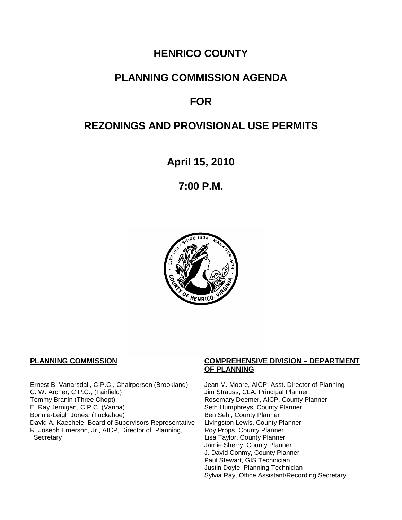# **HENRICO COUNTY**

## **PLANNING COMMISSION AGENDA**

## **FOR**

# **REZONINGS AND PROVISIONAL USE PERMITS**

**April 15, 2010**

**7:00 P.M.**



Ernest B. Vanarsdall, C.P.C., Chairperson (Brookland) Jean M. Moore, AICP, Asst. Director of Planning C. W. Archer, C.P.C., (Fairfield) Jim Strauss, CLA, Principal Planner C. W. Archer, C.P.C., (Fairfield) Jim Strauss, CLA, Principal Planner<br>Tommy Branin (Three Chopt) Strauss, CLA, Principal Planner E. Ray Jernigan, C.P.C. (Varina) Seth Humphreys, County Planner<br>Bonnie-Leigh Jones, (Tuckahoe) Sen Sehl, County Planner Bonnie-Leigh Jones, (Tuckahoe)<br>David A. Kaechele, Board of Supervisors Representative Livingston Lewis, County Planner David A. Kaechele, Board of Supervisors Representative R. Joseph Emerson, Jr., AICP, Director of Planning, **Secretary** 

### **PLANNING COMMISSION COMPREHENSIVE DIVISION – DEPARTMENT OF PLANNING**

Rosemary Deemer, AICP, County Planner Roy Props, County Planner Lisa Taylor, County Planner Jamie Sherry, County Planner J. David Conmy, County Planner Paul Stewart, GIS Technician Justin Doyle, Planning Technician Sylvia Ray, Office Assistant/Recording Secretary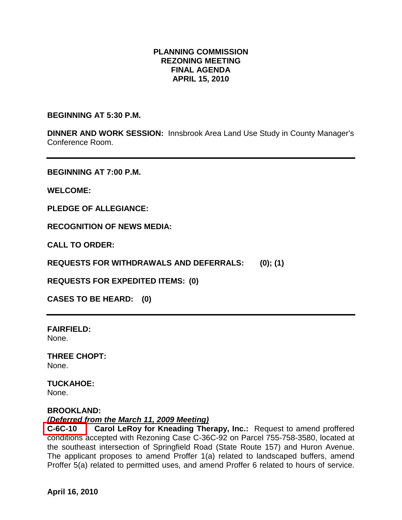## **PLANNING COMMISSION REZONING MEETING FINAL AGENDA APRIL 15, 2010**

**BEGINNING AT 5:30 P.M.**

**DINNER AND WORK SESSION:** Innsbrook Area Land Use Study in County Manager's Conference Room.

**BEGINNING AT 7:00 P.M.**

**WELCOME:**

**PLEDGE OF ALLEGIANCE:**

**RECOGNITION OF NEWS MEDIA:**

**CALL TO ORDER:**

**REQUESTS FOR WITHDRAWALS AND DEFERRALS: (0); (1)**

**REQUESTS FOR EXPEDITED ITEMS: (0)**

**CASES TO BE HEARD: (0)**

**FAIRFIELD:** None.

**THREE CHOPT:** None.

**TUCKAHOE:** None.

## **BROOKLAND:**

*(Deferred from the March 11, 2009 Meeting)*

**C-6C-10 Carol LeRoy for Kneading Therapy, Inc.:** Request to amend proffered conditions accepted with Rezoning Case C-36C-92 on Parcel 755-758-3580, located at the southeast intersection of Springfield Road (State Route 157) and Huron Avenue. The applicant proposes to amend Proffer 1(a) related to landscaped buffers, amend Proffer 5(a) related to permitted uses, and amend Proffer 6 related to hours of service.